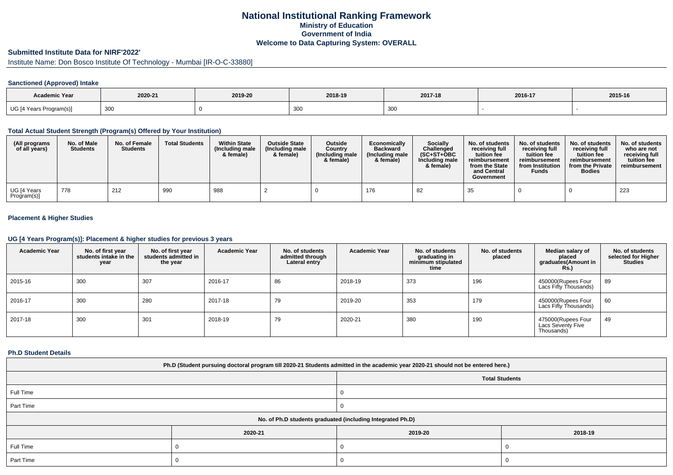# **National Institutional Ranking FrameworkMinistry of Education Government of IndiaWelcome to Data Capturing System: OVERALL**

# **Submitted Institute Data for NIRF'2022'**

Institute Name: Don Bosco Institute Of Technology - Mumbai [IR-O-C-33880]

## **Sanctioned (Approved) Intake**

| <b>Academic Year</b>    | 2020-21 | 2019-20 | 2018-19 | 2017-18 | 2016-17 | 2015-16 |
|-------------------------|---------|---------|---------|---------|---------|---------|
| UG [4 Years Program(s)] | 300     |         | ັບບ     | 300     |         |         |

#### **Total Actual Student Strength (Program(s) Offered by Your Institution)**

| (All programs<br>of all years) | No. of Male<br><b>Students</b> | No. of Female<br><b>Students</b> | <b>Total Students</b> | <b>Within State</b><br>(Including male<br>& female) | <b>Outside State</b><br>(Including male<br>& female) | <b>Outside</b><br>Country<br>(Including male<br>& female) | Economically<br><b>Backward</b><br>(Including male<br>& female) | <b>Socially</b><br>Challenged<br>$(SC+ST+OBC$<br>Including male<br>& female) | No. of students<br>receiving full<br>tuition fee<br>reimbursement<br>from the State<br>and Central<br>Government | No. of students<br>receiving full<br>tuition fee<br>reimbursement<br>from Institution<br><b>Funds</b> | No. of students<br>receiving full<br>tuition fee<br>reimbursement<br>from the Private<br><b>Bodies</b> | No. of students<br>who are not<br>receiving full<br>tuition fee<br>reimbursement |
|--------------------------------|--------------------------------|----------------------------------|-----------------------|-----------------------------------------------------|------------------------------------------------------|-----------------------------------------------------------|-----------------------------------------------------------------|------------------------------------------------------------------------------|------------------------------------------------------------------------------------------------------------------|-------------------------------------------------------------------------------------------------------|--------------------------------------------------------------------------------------------------------|----------------------------------------------------------------------------------|
| UG [4 Years<br>Program(s)]     | 778                            | 212                              | 990                   | 988                                                 |                                                      |                                                           | 176                                                             | 82                                                                           | 35                                                                                                               |                                                                                                       |                                                                                                        | 223                                                                              |

## **Placement & Higher Studies**

#### **UG [4 Years Program(s)]: Placement & higher studies for previous 3 years**

| <b>Academic Year</b> | No. of first year<br>students intake in the<br>year | No. of first year<br>students admitted in<br>the year | <b>Academic Year</b> | No. of students<br>admitted through<br>Lateral entry | <b>Academic Year</b> | No. of students<br>graduating in<br>minimum stipulated<br>time | No. of students<br>placed | Median salary of<br>placed<br>graduates(Amount in<br><b>Rs.)</b> | No. of students<br>selected for Higher<br><b>Studies</b> |
|----------------------|-----------------------------------------------------|-------------------------------------------------------|----------------------|------------------------------------------------------|----------------------|----------------------------------------------------------------|---------------------------|------------------------------------------------------------------|----------------------------------------------------------|
| 2015-16              | 300                                                 | 307                                                   | 2016-17              | 86                                                   | 2018-19              | 373                                                            | 196                       | 450000(Rupees Four<br>Lacs Fifty Thousands)                      | 89                                                       |
| 2016-17              | 300                                                 | 280                                                   | 2017-18              | 79                                                   | 2019-20              | 353                                                            | 179                       | 450000(Rupees Four<br>Lacs Fifty Thousands)                      | 60                                                       |
| 2017-18              | 300                                                 | 301                                                   | 2018-19              | 79                                                   | 2020-21              | 380                                                            | 190                       | 475000(Rupees Four<br>Lacs Seventy Five<br>Thousands)            | 49                                                       |

### **Ph.D Student Details**

| Ph.D (Student pursuing doctoral program till 2020-21 Students admitted in the academic year 2020-21 should not be entered here.) |         |                                                            |         |  |  |
|----------------------------------------------------------------------------------------------------------------------------------|---------|------------------------------------------------------------|---------|--|--|
|                                                                                                                                  |         | <b>Total Students</b>                                      |         |  |  |
| Full Time                                                                                                                        |         |                                                            |         |  |  |
| Part Time                                                                                                                        |         |                                                            |         |  |  |
|                                                                                                                                  |         | No. of Ph.D students graduated (including Integrated Ph.D) |         |  |  |
|                                                                                                                                  | 2020-21 | 2019-20                                                    | 2018-19 |  |  |
| Full Time                                                                                                                        |         |                                                            |         |  |  |
| Part Time                                                                                                                        |         |                                                            |         |  |  |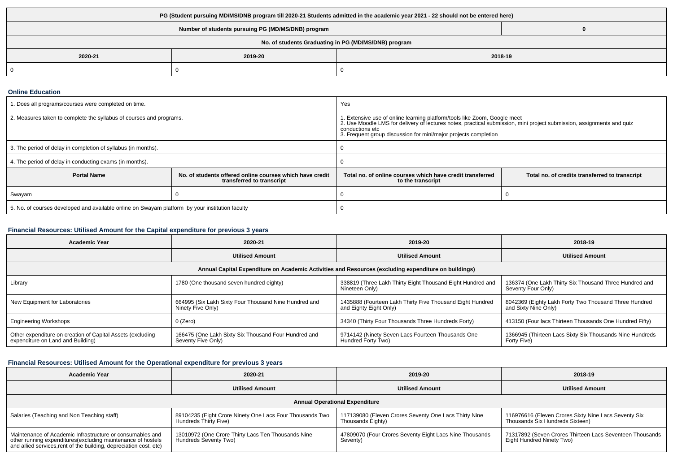| PG (Student pursuing MD/MS/DNB program till 2020-21 Students admitted in the academic year 2021 - 22 should not be entered here) |         |         |  |  |  |
|----------------------------------------------------------------------------------------------------------------------------------|---------|---------|--|--|--|
| Number of students pursuing PG (MD/MS/DNB) program                                                                               |         |         |  |  |  |
| No. of students Graduating in PG (MD/MS/DNB) program                                                                             |         |         |  |  |  |
| 2020-21                                                                                                                          | 2019-20 | 2018-19 |  |  |  |
| 0                                                                                                                                |         |         |  |  |  |

## **Online Education**

| 1. Does all programs/courses were completed on time.                                            |                                                                                       | Yes                                                                                                                                                                                                                                                                                      |                                                |  |
|-------------------------------------------------------------------------------------------------|---------------------------------------------------------------------------------------|------------------------------------------------------------------------------------------------------------------------------------------------------------------------------------------------------------------------------------------------------------------------------------------|------------------------------------------------|--|
| 2. Measures taken to complete the syllabus of courses and programs.                             |                                                                                       | 1. Extensive use of online learning platform/tools like Zoom, Google meet<br>2. Use Moodle LMS for delivery of lectures notes, practical submission, mini project submission, assignments and quiz<br>conductions etc<br>3. Frequent group discussion for mini/major projects completion |                                                |  |
| 3. The period of delay in completion of syllabus (in months).                                   |                                                                                       |                                                                                                                                                                                                                                                                                          |                                                |  |
| 4. The period of delay in conducting exams (in months).                                         |                                                                                       |                                                                                                                                                                                                                                                                                          |                                                |  |
| <b>Portal Name</b>                                                                              | No. of students offered online courses which have credit<br>transferred to transcript | Total no, of online courses which have credit transferred<br>to the transcript                                                                                                                                                                                                           | Total no. of credits transferred to transcript |  |
| Swayam                                                                                          |                                                                                       |                                                                                                                                                                                                                                                                                          |                                                |  |
| 5. No. of courses developed and available online on Swayam platform by your institution faculty |                                                                                       |                                                                                                                                                                                                                                                                                          |                                                |  |

## **Financial Resources: Utilised Amount for the Capital expenditure for previous 3 years**

| <b>Academic Year</b>                                                                                 | 2020-21                                                                    | 2019-20                                                                             | 2018-19                                                                       |  |  |  |
|------------------------------------------------------------------------------------------------------|----------------------------------------------------------------------------|-------------------------------------------------------------------------------------|-------------------------------------------------------------------------------|--|--|--|
|                                                                                                      | <b>Utilised Amount</b>                                                     | <b>Utilised Amount</b>                                                              | <b>Utilised Amount</b>                                                        |  |  |  |
| Annual Capital Expenditure on Academic Activities and Resources (excluding expenditure on buildings) |                                                                            |                                                                                     |                                                                               |  |  |  |
| Library                                                                                              | 1780 (One thousand seven hundred eighty)                                   | 338819 (Three Lakh Thirty Eight Thousand Eight Hundred and<br>Nineteen Only)        | 136374 (One Lakh Thirty Six Thousand Three Hundred and<br>Seventy Four Only)  |  |  |  |
| New Equipment for Laboratories                                                                       | 664995 (Six Lakh Sixty Four Thousand Nine Hundred and<br>Ninety Five Only) | 1435888 (Fourteen Lakh Thirty Five Thousand Eight Hundred<br>and Eighty Eight Only) | 8042369 (Eighty Lakh Forty Two Thousand Three Hundred<br>and Sixty Nine Only) |  |  |  |
| <b>Engineering Workshops</b>                                                                         | 0 (Zero)                                                                   | 34340 (Thirty Four Thousands Three Hundreds Forty)                                  | 413150 (Four lacs Thirteen Thousands One Hundred Fifty)                       |  |  |  |
| Other expenditure on creation of Capital Assets (excluding<br>expenditure on Land and Building)      | 166475 (One Lakh Sixty Six Thousand Four Hundred and<br>Seventy Five Only) | 9714142 (Ninety Seven Lacs Fourteen Thousands One<br>Hundred Forty Two)             | 1366945 (Thirteen Lacs Sixty Six Thousands Nine Hundreds<br>Forty Five)       |  |  |  |

## **Financial Resources: Utilised Amount for the Operational expenditure for previous 3 years**

| <b>Academic Year</b>                                                                                                                                                                           | 2020-21                                                                           | 2019-20                                                                    | 2018-19                                                                                 |  |  |  |
|------------------------------------------------------------------------------------------------------------------------------------------------------------------------------------------------|-----------------------------------------------------------------------------------|----------------------------------------------------------------------------|-----------------------------------------------------------------------------------------|--|--|--|
|                                                                                                                                                                                                | <b>Utilised Amount</b>                                                            | <b>Utilised Amount</b>                                                     | <b>Utilised Amount</b>                                                                  |  |  |  |
| <b>Annual Operational Expenditure</b>                                                                                                                                                          |                                                                                   |                                                                            |                                                                                         |  |  |  |
| Salaries (Teaching and Non Teaching staff)                                                                                                                                                     | 89104235 (Eight Crore Ninety One Lacs Four Thousands Two<br>Hundreds Thirty Five) | 117139080 (Eleven Crores Seventy One Lacs Thirty Nine<br>Thousands Eighty) | 116976616 (Eleven Crores Sixty Nine Lacs Seventy Six<br>Thousands Six Hundreds Sixteen) |  |  |  |
| Maintenance of Academic Infrastructure or consumables and<br>other running expenditures(excluding maintenance of hostels<br>and allied services, rent of the building, depreciation cost, etc) | 13010972 (One Crore Thirty Lacs Ten Thousands Nine<br>Hundreds Seventy Two)       | 47809070 (Four Crores Seventy Eight Lacs Nine Thousands<br>Seventy)        | 71317892 (Seven Crores Thirteen Lacs Seventeen Thousands<br>Eight Hundred Ninety Two)   |  |  |  |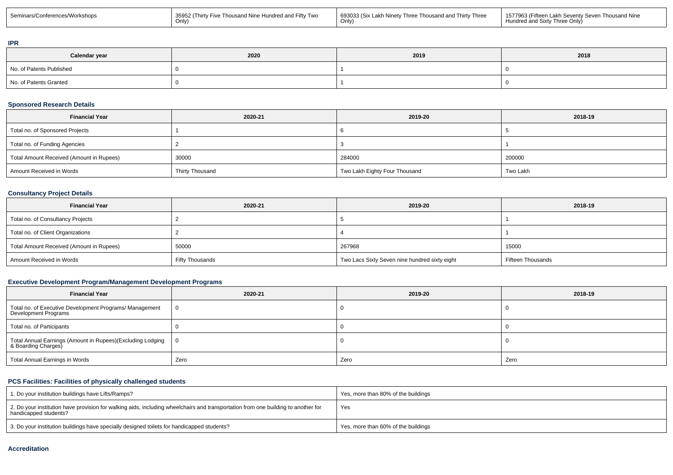| Seminars/Conferences/Workshops | 35952 (Thirty Five Thousand Nine Hundred and Fifty Two | 693033 (Six Lakh Ninety Three Thousand and Thirty Three<br>Only, | I 1577963 (Fifteen Lakh Seventy Seven Thousand Nine<br>Hundred and Sixty Three Only) |
|--------------------------------|--------------------------------------------------------|------------------------------------------------------------------|--------------------------------------------------------------------------------------|
|--------------------------------|--------------------------------------------------------|------------------------------------------------------------------|--------------------------------------------------------------------------------------|

#### **IPR**

| Calendar year            | 2020 | 2019 | 2018 |
|--------------------------|------|------|------|
| No. of Patents Published |      |      |      |
| No. of Patents Granted   |      |      |      |

## **Sponsored Research Details**

| <b>Financial Year</b>                    | 2020-21         | 2019-20                       | 2018-19  |
|------------------------------------------|-----------------|-------------------------------|----------|
| Total no. of Sponsored Projects          |                 |                               |          |
| Total no. of Funding Agencies            |                 |                               |          |
| Total Amount Received (Amount in Rupees) | 30000           | 284000                        | 200000   |
| Amount Received in Words                 | Thirty Thousand | Two Lakh Eighty Four Thousand | Two Lakh |

# **Consultancy Project Details**

| <b>Financial Year</b>                    | 2020-21         | 2019-20                                       | 2018-19                  |
|------------------------------------------|-----------------|-----------------------------------------------|--------------------------|
| Total no. of Consultancy Projects        |                 |                                               |                          |
| Total no. of Client Organizations        |                 |                                               |                          |
| Total Amount Received (Amount in Rupees) | 50000           | 267968                                        | 15000                    |
| Amount Received in Words                 | Fifty Thousands | Two Lacs Sixty Seven nine hundred sixty eight | <b>Fifteen Thousands</b> |

## **Executive Development Program/Management Development Programs**

| <b>Financial Year</b>                                                             | 2020-21        | 2019-20 | 2018-19 |
|-----------------------------------------------------------------------------------|----------------|---------|---------|
| Total no. of Executive Development Programs/ Management<br>Development Programs   | $\overline{0}$ |         |         |
| Total no. of Participants                                                         |                |         |         |
| Total Annual Earnings (Amount in Rupees)(Excluding Lodging<br>& Boarding Charges) | $\overline{0}$ |         |         |
| Total Annual Earnings in Words                                                    | Zero           | Zero    | Zero    |

# **PCS Facilities: Facilities of physically challenged students**

| 1. Do your institution buildings have Lifts/Ramps?                                                                                                         | Yes, more than 80% of the buildings |
|------------------------------------------------------------------------------------------------------------------------------------------------------------|-------------------------------------|
| 2. Do your institution have provision for walking aids, including wheelchairs and transportation from one building to another for<br>handicapped students? | Yes                                 |
| 3. Do your institution buildings have specially designed toilets for handicapped students?                                                                 | Yes, more than 60% of the buildings |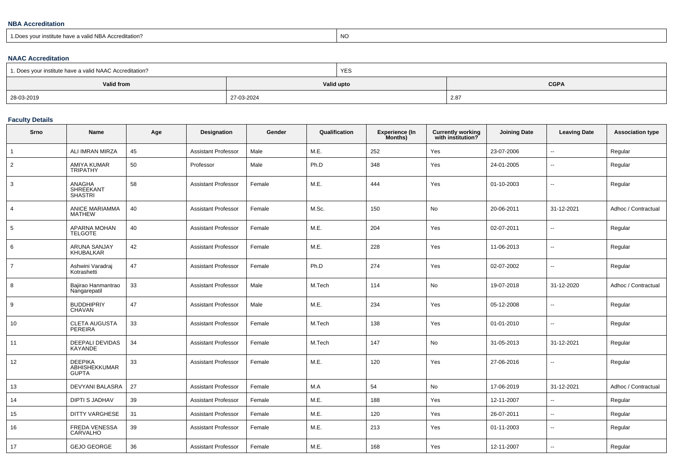## **NBA Accreditation**

1.Does your institute have a valid NBA Accreditation?explorer than the contract of the contract of the contract of the contract of the contract of the contract of the contract of the contract of the contract of the contract of the contract of the contract of the contract of

## **NAAC Accreditation**

| 1. Does your institute have a valid NAAC Accreditation? |            | <b>YES</b>                |      |  |  |
|---------------------------------------------------------|------------|---------------------------|------|--|--|
| Valid from                                              |            | <b>CGPA</b><br>Valid upto |      |  |  |
| 28-03-2019                                              | 27-03-2024 |                           | 2.87 |  |  |

## **Faculty Details**

| Srno           | <b>Name</b>                                     | Age | <b>Designation</b>         | Gender | Qualification | <b>Experience (In</b><br>Months) | <b>Currently working</b><br>with institution? | <b>Joining Date</b> | <b>Leaving Date</b>      | <b>Association type</b> |
|----------------|-------------------------------------------------|-----|----------------------------|--------|---------------|----------------------------------|-----------------------------------------------|---------------------|--------------------------|-------------------------|
|                | ALI IMRAN MIRZA                                 | 45  | <b>Assistant Professor</b> | Male   | M.E.          | 252                              | Yes                                           | 23-07-2006          | $\overline{\phantom{a}}$ | Regular                 |
| $\overline{2}$ | AMIYA KUMAR<br><b>TRIPATHY</b>                  | 50  | Professor                  | Male   | Ph.D          | 348                              | Yes                                           | 24-01-2005          | $\overline{\phantom{a}}$ | Regular                 |
| 3              | ANAGHA<br><b>SHREEKANT</b><br><b>SHASTRI</b>    | 58  | <b>Assistant Professor</b> | Female | M.E.          | 444                              | Yes                                           | 01-10-2003          | $\mathbf{u}$             | Regular                 |
| 4              | ANICE MARIAMMA<br><b>MATHEW</b>                 | 40  | <b>Assistant Professor</b> | Female | M.Sc.         | 150                              | No                                            | 20-06-2011          | 31-12-2021               | Adhoc / Contractual     |
| 5              | <b>APARNA MOHAN</b><br><b>TELGOTE</b>           | 40  | <b>Assistant Professor</b> | Female | M.E.          | 204                              | Yes                                           | 02-07-2011          | $\overline{\phantom{a}}$ | Regular                 |
| 6              | <b>ARUNA SANJAY</b><br>KHUBALKAR                | 42  | <b>Assistant Professor</b> | Female | M.E.          | 228                              | Yes                                           | 11-06-2013          | $\overline{\phantom{a}}$ | Regular                 |
| $\overline{7}$ | Ashwini Varadraj<br>Kotrashetti                 | 47  | <b>Assistant Professor</b> | Female | Ph.D          | 274                              | Yes                                           | 02-07-2002          | $\overline{\phantom{a}}$ | Regular                 |
| 8              | Bajirao Hanmantrao<br>Nangarepatil              | 33  | <b>Assistant Professor</b> | Male   | M.Tech        | 114                              | No                                            | 19-07-2018          | 31-12-2020               | Adhoc / Contractual     |
| 9              | <b>BUDDHIPRIY</b><br><b>CHAVAN</b>              | 47  | <b>Assistant Professor</b> | Male   | M.E.          | 234                              | Yes                                           | 05-12-2008          | $\overline{\phantom{a}}$ | Regular                 |
| 10             | <b>CLETA AUGUSTA</b><br>PEREIRA                 | 33  | <b>Assistant Professor</b> | Female | M.Tech        | 138                              | Yes                                           | 01-01-2010          | $\mathbf{u}$             | Regular                 |
| 11             | DEEPALI DEVIDAS<br>KAYANDE                      | 34  | <b>Assistant Professor</b> | Female | M.Tech        | 147                              | No                                            | 31-05-2013          | 31-12-2021               | Regular                 |
| 12             | <b>DEEPIKA</b><br>ABHISHEKKUMAR<br><b>GUPTA</b> | 33  | <b>Assistant Professor</b> | Female | M.E.          | 120                              | Yes                                           | 27-06-2016          | $\overline{\phantom{a}}$ | Regular                 |
| 13             | <b>DEVYANI BALASRA</b>                          | 27  | <b>Assistant Professor</b> | Female | M.A           | 54                               | No                                            | 17-06-2019          | 31-12-2021               | Adhoc / Contractual     |
| 14             | <b>DIPTI S JADHAV</b>                           | 39  | <b>Assistant Professor</b> | Female | M.E.          | 188                              | Yes                                           | 12-11-2007          | $\overline{\phantom{a}}$ | Regular                 |
| 15             | <b>DITTY VARGHESE</b>                           | 31  | <b>Assistant Professor</b> | Female | M.E.          | 120                              | Yes                                           | 26-07-2011          | $\overline{\phantom{a}}$ | Regular                 |
| 16             | FREDA VENESSA<br>CARVALHO                       | 39  | <b>Assistant Professor</b> | Female | M.E.          | 213                              | Yes                                           | 01-11-2003          | $\overline{\phantom{a}}$ | Regular                 |
| 17             | <b>GEJO GEORGE</b>                              | 36  | <b>Assistant Professor</b> | Female | M.E.          | 168                              | Yes                                           | 12-11-2007          |                          | Regular                 |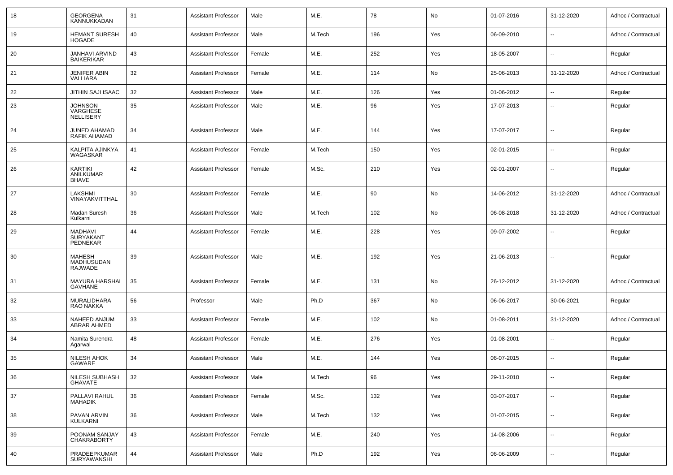| 18 | <b>GEORGENA</b><br>KANNUKKADAN                 | 31 | <b>Assistant Professor</b> | Male   | M.E.   | 78  | No  | 01-07-2016 | 31-12-2020               | Adhoc / Contractual |
|----|------------------------------------------------|----|----------------------------|--------|--------|-----|-----|------------|--------------------------|---------------------|
| 19 | <b>HEMANT SURESH</b><br>HOGADE                 | 40 | <b>Assistant Professor</b> | Male   | M.Tech | 196 | Yes | 06-09-2010 | --                       | Adhoc / Contractual |
| 20 | JANHAVI ARVIND<br><b>BAIKERIKAR</b>            | 43 | <b>Assistant Professor</b> | Female | M.E.   | 252 | Yes | 18-05-2007 | $\overline{\phantom{a}}$ | Regular             |
| 21 | <b>JENIFER ABIN</b><br>VALLIARA                | 32 | <b>Assistant Professor</b> | Female | M.E.   | 114 | No  | 25-06-2013 | 31-12-2020               | Adhoc / Contractual |
| 22 | JITHIN SAJI ISAAC                              | 32 | <b>Assistant Professor</b> | Male   | M.E.   | 126 | Yes | 01-06-2012 | --                       | Regular             |
| 23 | <b>JOHNSON</b><br>VARGHESE<br>NELLISERY        | 35 | <b>Assistant Professor</b> | Male   | M.E.   | 96  | Yes | 17-07-2013 | --                       | Regular             |
| 24 | JUNED AHAMAD<br>RAFIK AHAMAD                   | 34 | <b>Assistant Professor</b> | Male   | M.E.   | 144 | Yes | 17-07-2017 | $\overline{\phantom{a}}$ | Regular             |
| 25 | KALPITA AJINKYA<br>WAGASKAR                    | 41 | <b>Assistant Professor</b> | Female | M.Tech | 150 | Yes | 02-01-2015 | --                       | Regular             |
| 26 | KARTIKI<br>ANILKUMAR<br><b>BHAVE</b>           | 42 | <b>Assistant Professor</b> | Female | M.Sc.  | 210 | Yes | 02-01-2007 | --                       | Regular             |
| 27 | LAKSHMI<br>VINAYAKVITTHAL                      | 30 | <b>Assistant Professor</b> | Female | M.E.   | 90  | No  | 14-06-2012 | 31-12-2020               | Adhoc / Contractual |
| 28 | Madan Suresh<br>Kulkarni                       | 36 | <b>Assistant Professor</b> | Male   | M.Tech | 102 | No  | 06-08-2018 | 31-12-2020               | Adhoc / Contractual |
| 29 | <b>MADHAVI</b><br><b>SURYAKANT</b><br>PEDNEKAR | 44 | <b>Assistant Professor</b> | Female | M.E.   | 228 | Yes | 09-07-2002 | $\overline{\phantom{a}}$ | Regular             |
| 30 | <b>MAHESH</b><br>MADHUSUDAN<br>RAJWADE         | 39 | <b>Assistant Professor</b> | Male   | M.E.   | 192 | Yes | 21-06-2013 | $\overline{\phantom{a}}$ | Regular             |
| 31 | <b>MAYURA HARSHAL</b><br><b>GAVHANE</b>        | 35 | <b>Assistant Professor</b> | Female | M.E.   | 131 | No  | 26-12-2012 | 31-12-2020               | Adhoc / Contractual |
| 32 | MURALIDHARA<br>RAO NAKKA                       | 56 | Professor                  | Male   | Ph.D   | 367 | No  | 06-06-2017 | 30-06-2021               | Regular             |
| 33 | NAHEED ANJUM<br>ABRAR AHMED                    | 33 | <b>Assistant Professor</b> | Female | M.E.   | 102 | No  | 01-08-2011 | 31-12-2020               | Adhoc / Contractual |
| 34 | Namita Surendra<br>Agarwal                     | 48 | <b>Assistant Professor</b> | Female | M.E.   | 276 | Yes | 01-08-2001 | --                       | Regular             |
| 35 | <b>NILESH AHOK</b><br>GAWARE                   | 34 | <b>Assistant Professor</b> | Male   | M.E.   | 144 | Yes | 06-07-2015 | --                       | Regular             |
| 36 | NILESH SUBHASH<br>GHAVATE                      | 32 | <b>Assistant Professor</b> | Male   | M.Tech | 96  | Yes | 29-11-2010 | --                       | Regular             |
| 37 | PALLAVI RAHUL<br><b>MAHADIK</b>                | 36 | <b>Assistant Professor</b> | Female | M.Sc.  | 132 | Yes | 03-07-2017 | $\sim$                   | Regular             |
| 38 | PAVAN ARVIN<br>KULKARNI                        | 36 | <b>Assistant Professor</b> | Male   | M.Tech | 132 | Yes | 01-07-2015 | $\overline{\phantom{a}}$ | Regular             |
| 39 | POONAM SANJAY<br><b>CHAKRABORTY</b>            | 43 | <b>Assistant Professor</b> | Female | M.E.   | 240 | Yes | 14-08-2006 | --                       | Regular             |
| 40 | PRADEEPKUMAR<br>SURYAWANSHI                    | 44 | <b>Assistant Professor</b> | Male   | Ph.D   | 192 | Yes | 06-06-2009 | $\sim$                   | Regular             |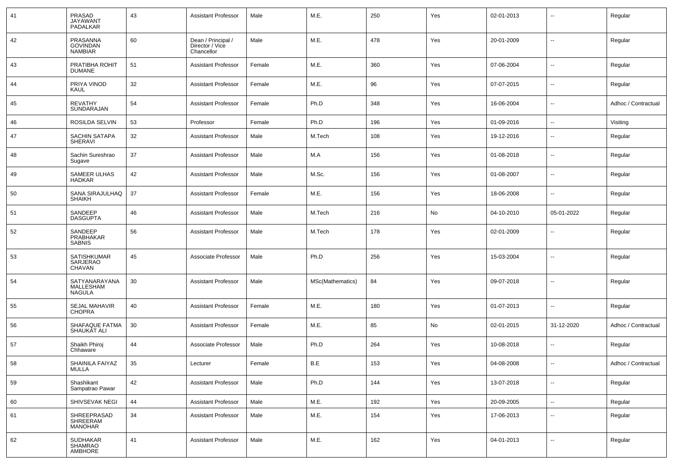| 41 | PRASAD<br><b>JAYAWANT</b><br>PADALKAR         | 43 | <b>Assistant Professor</b>                          | Male   | M.E.             | 250 | Yes | 02-01-2013 | ۰.                       | Regular             |
|----|-----------------------------------------------|----|-----------------------------------------------------|--------|------------------|-----|-----|------------|--------------------------|---------------------|
| 42 | PRASANNA<br><b>GOVINDAN</b><br><b>NAMBIAR</b> | 60 | Dean / Principal /<br>Director / Vice<br>Chancellor | Male   | M.E.             | 478 | Yes | 20-01-2009 | $\sim$                   | Regular             |
| 43 | PRATIBHA ROHIT<br><b>DUMANE</b>               | 51 | <b>Assistant Professor</b>                          | Female | M.E.             | 360 | Yes | 07-06-2004 | $\sim$                   | Regular             |
| 44 | PRIYA VINOD<br>KAUL                           | 32 | <b>Assistant Professor</b>                          | Female | M.E.             | 96  | Yes | 07-07-2015 | $\sim$                   | Regular             |
| 45 | <b>REVATHY</b><br>SUNDARAJAN                  | 54 | <b>Assistant Professor</b>                          | Female | Ph.D             | 348 | Yes | 16-06-2004 | $\sim$                   | Adhoc / Contractual |
| 46 | ROSILDA SELVIN                                | 53 | Professor                                           | Female | Ph.D             | 196 | Yes | 01-09-2016 | $\sim$                   | Visiting            |
| 47 | <b>SACHIN SATAPA</b><br><b>SHERAVI</b>        | 32 | <b>Assistant Professor</b>                          | Male   | M.Tech           | 108 | Yes | 19-12-2016 | $\sim$                   | Regular             |
| 48 | Sachin Sureshrao<br>Sugave                    | 37 | <b>Assistant Professor</b>                          | Male   | M.A              | 156 | Yes | 01-08-2018 | $\sim$                   | Regular             |
| 49 | <b>SAMEER ULHAS</b><br><b>HADKAR</b>          | 42 | <b>Assistant Professor</b>                          | Male   | M.Sc.            | 156 | Yes | 01-08-2007 | $\sim$                   | Regular             |
| 50 | SANA SIRAJULHAQ<br><b>SHAIKH</b>              | 37 | <b>Assistant Professor</b>                          | Female | M.E.             | 156 | Yes | 18-06-2008 | $\sim$                   | Regular             |
| 51 | SANDEEP<br><b>DASGUPTA</b>                    | 46 | <b>Assistant Professor</b>                          | Male   | M.Tech           | 216 | No  | 04-10-2010 | 05-01-2022               | Regular             |
| 52 | SANDEEP<br>PRABHAKAR<br><b>SABNIS</b>         | 56 | <b>Assistant Professor</b>                          | Male   | M.Tech           | 178 | Yes | 02-01-2009 | $\mathbf{u}$             | Regular             |
| 53 | SATISHKUMAR<br>SARJERAO<br>CHAVAN             | 45 | Associate Professor                                 | Male   | Ph.D             | 256 | Yes | 15-03-2004 | $\sim$                   | Regular             |
| 54 | SATYANARAYANA<br>MALLESHAM<br><b>NAGULA</b>   | 30 | <b>Assistant Professor</b>                          | Male   | MSc(Mathematics) | 84  | Yes | 09-07-2018 | $\overline{a}$           | Regular             |
| 55 | <b>SEJAL MAHAVIR</b><br><b>CHOPRA</b>         | 40 | <b>Assistant Professor</b>                          | Female | M.E.             | 180 | Yes | 01-07-2013 | $\overline{\phantom{a}}$ | Regular             |
| 56 | SHAFAQUE FATMA<br>SHAUKAT ALI                 | 30 | <b>Assistant Professor</b>                          | Female | M.E.             | 85  | No  | 02-01-2015 | 31-12-2020               | Adhoc / Contractual |
| 57 | Shaikh Phiroj<br>Chhaware                     | 44 | Associate Professor                                 | Male   | Ph.D             | 264 | Yes | 10-08-2018 | Ξ.                       | Regular             |
| 58 | SHAINILA FAIYAZ<br>MULLA                      | 35 | Lecturer                                            | Female | B.E              | 153 | Yes | 04-08-2008 | $\sim$                   | Adhoc / Contractual |
| 59 | Shashikant<br>Sampatrao Pawar                 | 42 | <b>Assistant Professor</b>                          | Male   | Ph.D             | 144 | Yes | 13-07-2018 | $\sim$                   | Regular             |
| 60 | SHIVSEVAK NEGI                                | 44 | <b>Assistant Professor</b>                          | Male   | M.E.             | 192 | Yes | 20-09-2005 | $\sim$                   | Regular             |
| 61 | SHREEPRASAD<br>SHREERAM<br><b>MANOHAR</b>     | 34 | <b>Assistant Professor</b>                          | Male   | M.E.             | 154 | Yes | 17-06-2013 | ۰.                       | Regular             |
| 62 | <b>SUDHAKAR</b><br>SHAMRAO<br>AMBHORE         | 41 | <b>Assistant Professor</b>                          | Male   | M.E.             | 162 | Yes | 04-01-2013 | $\sim$                   | Regular             |